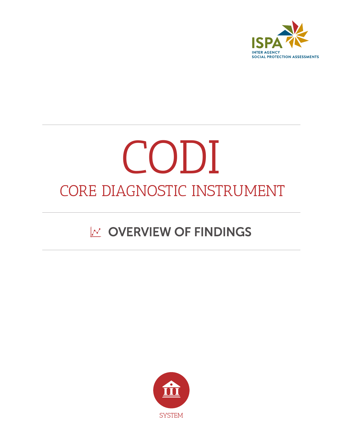

# CODI CORE DIAGNOSTIC INSTRUMENT

## $\mathbb{M}$  OVERVIEW OF FINDINGS

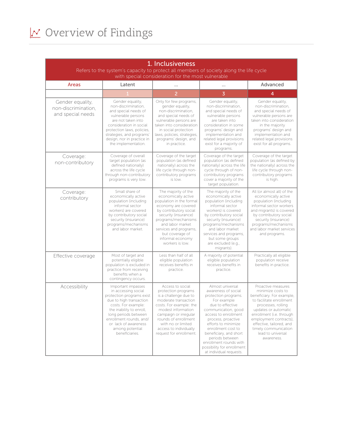### $\sqrt{\frac{N}{N}}$  Overview of Findings

| 1. Inclusiveness                                                                                                                             |                                                                                                                                                                                                                                                                      |                                                                                                                                                                                                                                                                                |                                                                                                                                                                                                                                                                                                                                                      |                                                                                                                                                                                                                                                                                             |  |
|----------------------------------------------------------------------------------------------------------------------------------------------|----------------------------------------------------------------------------------------------------------------------------------------------------------------------------------------------------------------------------------------------------------------------|--------------------------------------------------------------------------------------------------------------------------------------------------------------------------------------------------------------------------------------------------------------------------------|------------------------------------------------------------------------------------------------------------------------------------------------------------------------------------------------------------------------------------------------------------------------------------------------------------------------------------------------------|---------------------------------------------------------------------------------------------------------------------------------------------------------------------------------------------------------------------------------------------------------------------------------------------|--|
| Refers to the system's capacity to protect all members of society along the life cycle<br>with special consideration for the most vulnerable |                                                                                                                                                                                                                                                                      |                                                                                                                                                                                                                                                                                |                                                                                                                                                                                                                                                                                                                                                      |                                                                                                                                                                                                                                                                                             |  |
| Areas                                                                                                                                        | Latent                                                                                                                                                                                                                                                               |                                                                                                                                                                                                                                                                                |                                                                                                                                                                                                                                                                                                                                                      | Advanced                                                                                                                                                                                                                                                                                    |  |
|                                                                                                                                              |                                                                                                                                                                                                                                                                      | $\overline{2}$                                                                                                                                                                                                                                                                 | $\overline{3}$                                                                                                                                                                                                                                                                                                                                       | 4                                                                                                                                                                                                                                                                                           |  |
| Gender equality,<br>non-discrimination,<br>and special needs                                                                                 | Gender equality,<br>non-discrimination,<br>and special needs of<br>vulnerable persons<br>are not taken into<br>consideration in social<br>protection laws, policies,<br>strategies, and programs'<br>design, nor in practice in<br>the implementation.               | Only for few programs,<br>gender equality,<br>non-discrimination,<br>and special needs of<br>vulnerable persons are<br>taken into consideration<br>in social protection<br>laws, policies, strategies,<br>programs' design, and<br>in practice.                                | Gender equality,<br>non-discrimination,<br>and special needs of<br>vulnerable persons<br>are taken into<br>consideration in some<br>programs' design and<br>implementation and<br>related legal provisions<br>exist for a majority of<br>programs.                                                                                                   | Gender equality,<br>non-discrimination,<br>and special needs of<br>vulnerable persons are<br>taken into consideration<br>in the majority<br>programs' design and<br>implementation and<br>related legal provisions<br>exist for all programs.                                               |  |
| Coverage:<br>non-contributory                                                                                                                | Coverage of overall<br>target population (as<br>defined nationally)<br>across the life cycle<br>through non-contributory<br>programs is very low.                                                                                                                    | Coverage of the target<br>population (as defined<br>nationally) across the<br>life cycle through non-<br>contributory programs<br>is low.                                                                                                                                      | Coverage of the target<br>population (as defined<br>nationally) across the life<br>cycle through of non-<br>contributory programs<br>cover a majority of the<br>target population.                                                                                                                                                                   | Coverage of the target<br>population (as defined by<br>the nationally) across the<br>life cycle through non-<br>contributory programs<br>is high.                                                                                                                                           |  |
| Coverage:<br>contributory                                                                                                                    | Small share of<br>economically active<br>population (including<br>informal sector<br>workers) are covered<br>by contributory social<br>security (insurance)<br>programs/mechanisms<br>and labor market.                                                              | The majority of the<br>economically active<br>population in the formal<br>economy are covered<br>by contributory social<br>security (insurance)<br>programs/mechanisms<br>and labor market<br>services and programs,<br>but coverage of<br>informal economy<br>workers is low. | The majority of the<br>economically active<br>population (including<br>informal sector<br>workers) is covered<br>by contributory social<br>security (insurance)<br>programs/mechanisms<br>and labor market<br>services and programs,<br>but some groups<br>are excluded (e.g.,<br>migrants).                                                         | All (or almost all) of the<br>economically active<br>population (including<br>informal sector workers<br>and migrants) is covered<br>by contributory social<br>security (insurance)<br>programs/mechanisms<br>and labor market services<br>and programs.                                    |  |
| Effective coverage                                                                                                                           | Most of target and<br>potentially eligible<br>population is excluded in<br>practice from receiving<br>benefits when a<br>contingency occurs.                                                                                                                         | Less than half of all<br>eligible population<br>receives benefits in<br>practice.                                                                                                                                                                                              | A majority of potential<br>eligible population<br>receives benefits in<br>practice.                                                                                                                                                                                                                                                                  | Practically all eligible<br>population receive<br>benefits in practice.                                                                                                                                                                                                                     |  |
| Accessibility                                                                                                                                | Important impasses<br>in accessing social<br>protection programs exist<br>due to high transaction<br>costs. For example:<br>the inability to enroll,<br>long periods between<br>enrollment rounds, and/<br>or lack of awareness<br>among potential<br>beneficiaries. | Access to social<br>protection programs<br>is a challenge due to<br>moderate transaction<br>costs. For example: the<br>modest information<br>campaign or irregular<br>rounds of enrollment<br>with no or limited<br>access to individually<br>request for enrollment.          | Almost universal<br>awareness of social<br>protection programs.<br>For example<br>due to effective<br>communication, good<br>access to enrollment<br>process, proactive<br>efforts to minimize<br>enrollment cost to<br>beneficiary, and short<br>periods between<br>enrollment rounds with<br>possibility for enrollment<br>at individual requests. | Proactive measures<br>minimize costs to<br>beneficiary. For example,<br>to facilitate enrollment<br>processes, rolling<br>updates or automatic<br>enrollment (i.e. through<br>employment contracts),<br>effective, tailored, and<br>timely communication<br>lead to universal<br>awareness. |  |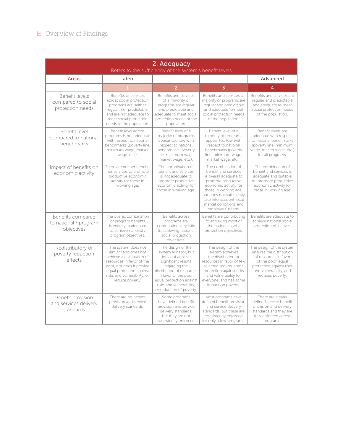| 2. Adequacy<br>Refers to the sufficiency of the system's benefit levels |                                                                                                                                                                                                                  |                                                                                                                                                                                                                                                  |                                                                                                                                                                                                                                                    |                                                                                                                                                                               |
|-------------------------------------------------------------------------|------------------------------------------------------------------------------------------------------------------------------------------------------------------------------------------------------------------|--------------------------------------------------------------------------------------------------------------------------------------------------------------------------------------------------------------------------------------------------|----------------------------------------------------------------------------------------------------------------------------------------------------------------------------------------------------------------------------------------------------|-------------------------------------------------------------------------------------------------------------------------------------------------------------------------------|
| Areas                                                                   | Latent                                                                                                                                                                                                           |                                                                                                                                                                                                                                                  | .                                                                                                                                                                                                                                                  | Advanced                                                                                                                                                                      |
|                                                                         |                                                                                                                                                                                                                  | $\overline{2}$                                                                                                                                                                                                                                   | $\overline{3}$                                                                                                                                                                                                                                     | 4                                                                                                                                                                             |
| Benefit levels<br>compared to social<br>protection needs                | Benefits or services<br>across social protection<br>programs are neither<br>regular, nor predictable,<br>and are not adequate to<br>meet social protection<br>needs of the population.                           | Benefits and services<br>of a minority of<br>programs are regular<br>and predictable and<br>adequate to meet social<br>protection needs of the<br>population.                                                                                    | Benefits and services of<br>majority of programs are<br>regular and predictable<br>and adequate to meet<br>social protection needs<br>of the population.                                                                                           | Benefits and services are<br>regular and predictable<br>and adequate to meet<br>social protection needs<br>of the population.                                                 |
| <b>Benefit level</b><br>compared to national<br>benchmarks              | Benefit level across<br>programs is not adequate<br>with respect to national<br>benchmarks (poverty line,<br>minimum wage, market<br>wage, etc.).                                                                | Benefit level of a<br>majority of programs<br>appear too low with<br>respect to national<br>benchmarks (poverty<br>line, minimum wage,<br>market wage, etc.).                                                                                    | Benefit level of a<br>minority of programs<br>appear too low with<br>respect to national<br>benchmarks (poverty<br>line, minimum wage,<br>market wage, etc.).                                                                                      | Benefit levels are<br>adequate with respect<br>to national benchmarks<br>(poverty line, minimum<br>wage, market wage, etc.)<br>for all programs.                              |
| Impact of benefits on<br>economic activity                              | There are neither benefits<br>nor services to promote<br>productive economic<br>activity for those in<br>working age.                                                                                            | The combination of<br>benefit and services<br>is not adequate to<br>promote productive<br>economic activity for<br>those in working age.                                                                                                         | The combination of<br>benefit and services<br>is overall adequate to<br>promote productive<br>economic activity for<br>those in working age,<br>but does not sufficiently<br>take into account local<br>market conditions and<br>employers' needs. | The combination of<br>benefit and services is<br>adequate and suitable<br>to promote productive<br>economic activity for<br>those in working age.                             |
| Benefits compared<br>to national / program<br>objectives                | The overall combination<br>of program benefits<br>is entirely inadequate<br>to achieve national /<br>program objectives.                                                                                         | Benefits across<br>programs are<br>contributing very little<br>to achieving national<br>social protection<br>objectives.                                                                                                                         | Benefits are contributing<br>to achieving most of<br>the national social<br>protection objectives.                                                                                                                                                 | Benefits are adequate to<br>achieve national social<br>protection objectives.                                                                                                 |
| Redistributory or<br>poverty reduction<br>effects                       | The system does not<br>aim for and does not<br>achieve a distribution of<br>resources in favor of the<br>poor, nor does it provide<br>equal protection against<br>risks and vulnerability, or<br>reduce poverty. | The design of the<br>system aims for, but<br>does not achieve,<br>significant results<br>regarding the<br>distribution of resources<br>in favor of the poor,<br>equal protection against<br>risks and vulnerability,<br>or reduction of poverty. | The design of the<br>system achieves<br>the distribution of<br>resources in favor of few<br>selected groups, some<br>protection against risks<br>and vulnerability for<br>everyone, and has some<br>impact on poverty.                             | The design of the system<br>ensures the distribution<br>of resources in favor<br>of the poor, equal<br>protection against risks<br>and vulnerability, and<br>reduces poverty. |
| Benefit provision<br>and services delivery<br>standards                 | There are no benefit<br>provision and service<br>delivery standards.                                                                                                                                             | Some programs<br>have defined benefit<br>provision and service<br>delivery standards,<br>but they are not<br>consistently enforced                                                                                                               | Most programs have<br>defined benefit provision<br>and service delivery<br>standards, but these are<br>consistently enforced<br>for only a few programs.                                                                                           | There are clearly<br>defined service benefit<br>provision and delivery<br>standards and they are<br>fully enforced across<br>programs.                                        |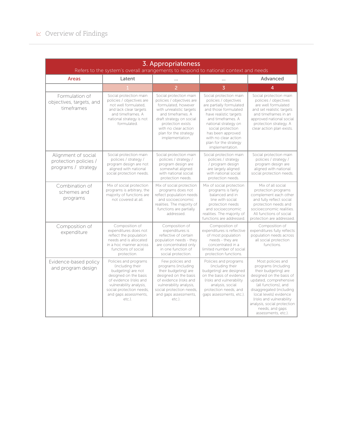| 3. Appropriateness<br>Refers to the system's overall arrangements to respond to national context and needs |                                                                                                                                                                                                              |                                                                                                                                                                                                                                                  |                                                                                                                                                                                                                                                                                          |                                                                                                                                                                                                                                                                                                           |
|------------------------------------------------------------------------------------------------------------|--------------------------------------------------------------------------------------------------------------------------------------------------------------------------------------------------------------|--------------------------------------------------------------------------------------------------------------------------------------------------------------------------------------------------------------------------------------------------|------------------------------------------------------------------------------------------------------------------------------------------------------------------------------------------------------------------------------------------------------------------------------------------|-----------------------------------------------------------------------------------------------------------------------------------------------------------------------------------------------------------------------------------------------------------------------------------------------------------|
| Areas                                                                                                      | Latent                                                                                                                                                                                                       | $\ddot{\phantom{a}}$                                                                                                                                                                                                                             | .                                                                                                                                                                                                                                                                                        | Advanced                                                                                                                                                                                                                                                                                                  |
|                                                                                                            |                                                                                                                                                                                                              | $\overline{2}$                                                                                                                                                                                                                                   | $\overline{3}$                                                                                                                                                                                                                                                                           | 4                                                                                                                                                                                                                                                                                                         |
| Formulation of<br>objectives, targets, and<br>timeframes                                                   | Social protection main<br>policies / objectives are<br>not well formulated.<br>and lack clear targets<br>and timeframes. A<br>national strategy is not<br>formulated.                                        | Social protection main<br>policies / objectives are<br>formulated, however<br>with unrealistic targets<br>and timeframes. A<br>draft strategy on social<br>protection exists<br>with no clear action<br>plan for the strategy<br>implementation. | Social protection main<br>policies / objectives<br>are partially formulated<br>and those formulated<br>have realistic targets<br>and timeframes. A<br>national strategy on<br>social protection<br>has been approved<br>with no clear action<br>plan for the strategy<br>implementation. | Social protection main<br>policies / objectives<br>are well formulated<br>and set realistic targets<br>and timeframes in an<br>approved national social<br>protection strategy. A<br>clear action plan exists.                                                                                            |
| Alignment of social<br>protection policies /<br>programs / strategy                                        | Social protection main<br>policies / strategy /<br>program design are not<br>aligned with national<br>social protection needs.                                                                               | Social protection main<br>policies / strategy /<br>program design are<br>somewhat aligned<br>with national social<br>protection needs.                                                                                                           | Social protection main<br>policies / strategy<br>/ program design<br>are largely aligned<br>with national social<br>protection needs.                                                                                                                                                    | Social protection main<br>policies / strategy /<br>program design are<br>aligned with national<br>social protection needs.                                                                                                                                                                                |
| Combination of<br>schemes and<br>programs                                                                  | Mix of social protection<br>programs is arbitrary, the<br>majority of functions are<br>not covered at all.                                                                                                   | Mix of social protection<br>programs does not<br>reflect population needs<br>and socioeconomic<br>realities. The majority of<br>functions are partially<br>addressed.                                                                            | Mix of social protection<br>programs is fairly<br>balanced and in<br>line with social<br>protection needs<br>and socioeconomic<br>realities. The majority of<br>functions are addressed                                                                                                  | Mix of all social<br>protection programs<br>complement each other<br>and fully reflect social<br>protection needs and<br>socioeconomic realities.<br>All functions of social<br>protection are addressed.                                                                                                 |
| Composition of<br>expenditure                                                                              | Composition of<br>expenditures does not<br>reflect the population<br>needs and is allocated<br>in a hoc manner across<br>functions of social<br>protection.                                                  | Composition of<br>expenditures is<br>reflective of certain<br>population needs - they<br>are concentrated only<br>in one function of<br>social protection.                                                                                       | Composition of<br>expenditures is reflective<br>of most population<br>needs - they are<br>concentrated in a<br>limited number of social<br>protection functions.                                                                                                                         | Composition of<br>expenditures fully reflects<br>population needs across<br>all social protection<br>functions.                                                                                                                                                                                           |
| Evidence-based policy<br>and program design                                                                | Policies and programs<br>(including their<br>budgeting) are not<br>designed on the basis<br>of evidence (risks and<br>vulnerability analysis,<br>social protection needs,<br>and gaps assessments,<br>etc.). | Few policies and<br>programs (including<br>their budgeting) are<br>designed on the basis<br>of evidence (risks and<br>vulnerability analysis,<br>social protection needs,<br>and gaps assessments,<br>etc.).                                     | Policies and programs<br>(including their<br>budgeting) are designed<br>on the basis of evidence<br>(risks and vulnerability<br>analysis, social<br>protection needs, and<br>gaps assessments, etc.).                                                                                    | Most policies and<br>programs (including<br>their budgeting) are<br>designed on the basis of<br>updated, comprehensive<br>(all functions), and<br>disaggregated (including<br>local levels) evidence<br>(risks and vulnerability<br>analysis, social protection<br>needs, and gaps<br>assessments, etc.). |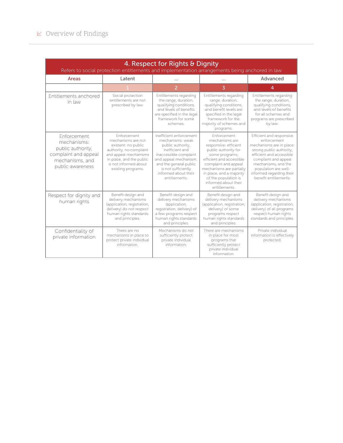#### $\textcolor{red}{\swarrow}$  Overview of Findings

| 4. Respect for Rights & Dignity<br>Refers to social protection entitlements and implementation arrangements being anchored in law |                                                                                                                                                                                         |                                                                                                                                                                                                                                  |                                                                                                                                                                                                                                                                               |                                                                                                                                                                                                                                                         |
|-----------------------------------------------------------------------------------------------------------------------------------|-----------------------------------------------------------------------------------------------------------------------------------------------------------------------------------------|----------------------------------------------------------------------------------------------------------------------------------------------------------------------------------------------------------------------------------|-------------------------------------------------------------------------------------------------------------------------------------------------------------------------------------------------------------------------------------------------------------------------------|---------------------------------------------------------------------------------------------------------------------------------------------------------------------------------------------------------------------------------------------------------|
| Areas                                                                                                                             | Latent                                                                                                                                                                                  | $\cdots$                                                                                                                                                                                                                         | .                                                                                                                                                                                                                                                                             | Advanced                                                                                                                                                                                                                                                |
|                                                                                                                                   |                                                                                                                                                                                         | 2                                                                                                                                                                                                                                | $\overline{3}$                                                                                                                                                                                                                                                                | 4                                                                                                                                                                                                                                                       |
| Entitlements anchored<br>in law                                                                                                   | Social protection<br>entitlements are not<br>prescribed by law.                                                                                                                         | Entitlements regarding<br>the range, duration,<br>qualifying conditions,<br>and levels of benefits<br>are specified in the legal<br>framework for some<br>schemes.                                                               | Entitlements regarding<br>range, duration,<br>qualifying conditions,<br>and benefit levels are<br>specified in the legal<br>framework for the<br>majority of schemes and<br>programs.                                                                                         | Entitlements regarding<br>the range, duration,<br>qualifying conditions,<br>and levels of benefits<br>for all schemes and<br>programs are prescribed<br>by law.                                                                                         |
| <b>Fnforcement</b><br>mechanisms:<br>public authority,<br>complaint and appeal<br>mechanisms, and<br>public awareness             | Enforcement<br>mechanisms are not<br>existent: no public<br>authority, no complaint<br>and appeal mechanisms<br>in place, and the public<br>is not informed about<br>existing programs. | Inefficient enforcement<br>mechanisms: weak<br>public authority,<br>inefficient and<br>inaccessible complaint<br>and appeal mechanism,<br>and the general public<br>is not sufficiently<br>informed about their<br>entitlements. | Enforcement<br>mechanisms are<br>responsive: efficient<br>public authority for<br>some programs,<br>efficient and accessible<br>complaint and appeal<br>mechanisms are partially<br>in place, and a majority<br>of the population is<br>informed about their<br>entitlements. | Efficient and responsive<br>enforcement<br>mechanisms are in place:<br>strong public authority,<br>efficient and accessible<br>complaint and appeal<br>mechanisms, and the<br>population are well-<br>informed regarding their<br>benefit entitlements. |
| Respect for dignity and<br>human rights                                                                                           | Benefit design and<br>delivery mechanisms<br>(application, registration,<br>delivery) do not respect<br>human rights standards<br>and principles.                                       | Benefit design and<br>delivery mechanisms<br>(application,<br>registration, delivery) of<br>a few programs respect<br>human rights standards<br>and principles.                                                                  | Benefit design and<br>delivery mechanisms<br>(application, registration,<br>delivery) of some<br>programs respect<br>human rights standards<br>and principles.                                                                                                                | Benefit design and<br>delivery mechanisms<br>(application, registration,<br>delivery) of all programs<br>respect human rights<br>standards and principles.                                                                                              |
| Confidentiality of<br>private information                                                                                         | There are no<br>mechanisms in place to<br>protect private individual<br>information.                                                                                                    | Mechanisms do not<br>sufficiently protect<br>private individual<br>information.                                                                                                                                                  | There are mechanisms<br>in place for most<br>programs that<br>sufficiently protect<br>private individual<br>information.                                                                                                                                                      | Private individual<br>information is effectively<br>protected.                                                                                                                                                                                          |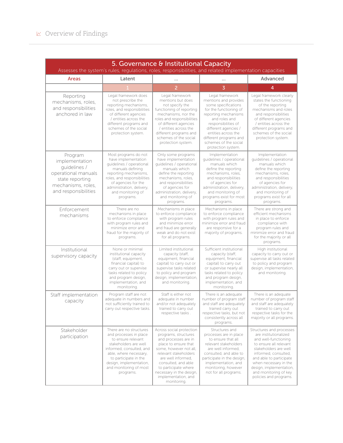| 5. Governance & Institutional Capacity<br>Assesses the system's rules, regulations, roles, responsibilities, and related implementation capacities |                                                                                                                                                                                                                                                   |                                                                                                                                                                                                                                                                                            |                                                                                                                                                                                                                                                                                   |                                                                                                                                                                                                                                                                                        |
|----------------------------------------------------------------------------------------------------------------------------------------------------|---------------------------------------------------------------------------------------------------------------------------------------------------------------------------------------------------------------------------------------------------|--------------------------------------------------------------------------------------------------------------------------------------------------------------------------------------------------------------------------------------------------------------------------------------------|-----------------------------------------------------------------------------------------------------------------------------------------------------------------------------------------------------------------------------------------------------------------------------------|----------------------------------------------------------------------------------------------------------------------------------------------------------------------------------------------------------------------------------------------------------------------------------------|
| Areas                                                                                                                                              | Latent                                                                                                                                                                                                                                            |                                                                                                                                                                                                                                                                                            |                                                                                                                                                                                                                                                                                   | Advanced                                                                                                                                                                                                                                                                               |
|                                                                                                                                                    |                                                                                                                                                                                                                                                   | $\overline{2}$                                                                                                                                                                                                                                                                             | $\overline{3}$                                                                                                                                                                                                                                                                    | 4                                                                                                                                                                                                                                                                                      |
| Reporting<br>mechanisms, roles,<br>and responsibilities<br>anchored in law                                                                         | Legal framework does<br>not prescribe the<br>reporting mechanisms,<br>roles, and responsibilities<br>of different agencies<br>/ entities across the<br>different programs and<br>schemes of the social<br>protection system.                      | Legal framework<br>mentions but does<br>not specify the<br>functioning of reporting<br>mechanisms, nor the<br>roles and responsibilities<br>of different agencies<br>/ entities across the<br>different programs and<br>schemes of the social<br>protection system.                        | Legal framework<br>mentions and provides<br>some specifications<br>for the functioning of<br>reporting mechanisms<br>and roles and<br>responsibilities of<br>different agencies /<br>entities across the<br>different programs and<br>schemes of the social<br>protection system. | Legal framework clearly<br>states the functioning<br>of the reporting<br>mechanisms and roles<br>and responsibilities<br>of different agencies<br>/ entities across the<br>different programs and<br>schemes of the social<br>protection system.                                       |
| Program<br>implementation<br>quidelines /<br>operational manuals<br>state reporting<br>mechanisms, roles,<br>and responsibilities                  | Most programs do not<br>have implementation<br>quidelines / operational<br>manuals defining<br>reporting mechanisms,<br>roles, and responsibilities<br>of agencies for the<br>administration, delivery,<br>and monitoring of<br>programs.         | Only some programs<br>have implementation<br>quidelines / operational<br>manuals which<br>define the reporting<br>mechanisms, roles,<br>and responsibilities<br>of agencies for<br>administration, delivery,<br>and monitoring of<br>programs.                                             | Implementation<br>quidelines / operational<br>manuals which<br>define the reporting<br>mechanisms, roles,<br>and responsibilities<br>of agencies for<br>administration, delivery,<br>and monitoring of<br>programs exist for most<br>programs.                                    | Implementation<br>quidelines / operational<br>manuals which<br>define the reporting<br>mechanisms, roles,<br>and responsibilities<br>of agencies for<br>administration, delivery,<br>and monitoring of<br>programs exist for all<br>programs.                                          |
| Enforcement<br>mechanisms                                                                                                                          | There are no<br>mechanisms in place<br>to enforce compliance<br>with program rules and<br>minimize error and<br>fraud for the majority of<br>programs.                                                                                            | Mechanisms in place<br>to enforce compliance<br>with program rules<br>and minimize error<br>and fraud are generally<br>weak and do not exist<br>for all programs.                                                                                                                          | Mechanisms in place<br>to enforce compliance<br>with program rules and<br>minimize error and fraud<br>are responsive for a<br>majority of programs.                                                                                                                               | There are strong and<br>efficient mechanisms<br>in place to enforce<br>compliance with<br>program rules and<br>minimize error and fraud<br>for the majority or all<br>programs.                                                                                                        |
| Institutional<br>supervisory capacity                                                                                                              | None or minimal<br>institutional capacity<br>(staff, equipment,<br>financial capital) to<br>carry out or supervise<br>tasks related to policy<br>and program design,<br>implementation, and<br>monitoring.                                        | Limited institutional<br>capacity (staff,<br>equipment, financial<br>capital) to carry out or<br>supervise tasks related<br>to policy and program<br>design, implementation,<br>and monitoring.                                                                                            | Sufficient institutional<br>capacity (staff,<br>equipment, financial<br>capital) to carry out<br>or supervise nearly all<br>tasks related to policy<br>and program design,<br>implementation, and<br>monitoring                                                                   | High institutional<br>capacity to carry out or<br>supervise all tasks related<br>to policy and program<br>design, implementation,<br>and monitoring.                                                                                                                                   |
| Staff implementation<br>capacity                                                                                                                   | Program staff are not<br>adequate in numbers and<br>not sufficiently trained to<br>carry out respective tasks.                                                                                                                                    | Staff is either not<br>adequate in number<br>and/or not adequately<br>trained to carry out<br>respective tasks.                                                                                                                                                                            | There is an adequate<br>number of program staff<br>and staff are adequately<br>trained carry out<br>respective tasks, but not<br>consistently across all<br>programs.                                                                                                             | There is an adequate<br>number of program staff<br>and staff are adequately<br>trained to carry out<br>respective tasks for the<br>majority or all programs.                                                                                                                           |
| Stakeholder<br>participation                                                                                                                       | There are no structures<br>and processes in place<br>to ensure relevant<br>stakeholders are well<br>informed, consulted, and<br>able, where necessary,<br>to participate in the<br>design, implementation,<br>and monitoring of most<br>programs. | Across social protection<br>programs, structures<br>and processes are in<br>place to ensure that<br>some, however not all,<br>relevant stakeholders<br>are well informed,<br>consulted, and able<br>to participate where<br>necessary in the design,<br>implementation, and<br>monitoring. | Structures and<br>processes are in place<br>to ensure that all<br>relevant stakeholders<br>are well informed,<br>consulted, and able to<br>participate in the design,<br>implementation, and<br>monitoring, however<br>not for all programs.                                      | Structures and processes<br>are institutionalized<br>and well-functioning<br>to ensure all relevant<br>stakeholders are well<br>informed, consulted,<br>and able to participate<br>when necessary in the<br>design, implementation,<br>and monitoring of key<br>policies and programs. |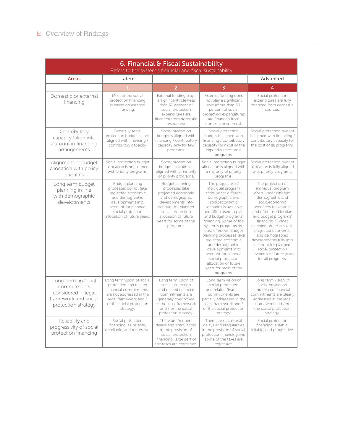#### $\textdegree$  Overview of Findings

| 6. Financial & Fiscal Sustainability<br>Refers to the system's financial and fiscal sustainability       |                                                                                                                                                                                   |                                                                                                                                                                                                           |                                                                                                                                                                                                                                                                                                                                                                                                                                                                  |                                                                                                                                                                                                                                                                                                                                                                                                     |
|----------------------------------------------------------------------------------------------------------|-----------------------------------------------------------------------------------------------------------------------------------------------------------------------------------|-----------------------------------------------------------------------------------------------------------------------------------------------------------------------------------------------------------|------------------------------------------------------------------------------------------------------------------------------------------------------------------------------------------------------------------------------------------------------------------------------------------------------------------------------------------------------------------------------------------------------------------------------------------------------------------|-----------------------------------------------------------------------------------------------------------------------------------------------------------------------------------------------------------------------------------------------------------------------------------------------------------------------------------------------------------------------------------------------------|
| Areas                                                                                                    | Latent                                                                                                                                                                            | $\cdots$                                                                                                                                                                                                  | $\ddotsc$                                                                                                                                                                                                                                                                                                                                                                                                                                                        | Advanced                                                                                                                                                                                                                                                                                                                                                                                            |
|                                                                                                          |                                                                                                                                                                                   | $\overline{2}$                                                                                                                                                                                            | $\overline{3}$                                                                                                                                                                                                                                                                                                                                                                                                                                                   | $\overline{4}$                                                                                                                                                                                                                                                                                                                                                                                      |
| Domestic or external<br>financing                                                                        | Most of the social<br>protection financing<br>is based on external<br>funding.                                                                                                    | External funding plays<br>a significant role (less<br>than 50 percent of<br>social protection<br>expenditures are<br>financed from domestic<br>resources).                                                | External funding does<br>not play a significant<br>role (more than 50<br>percent of social<br>protection expenditures<br>are financed from<br>domestic resources)                                                                                                                                                                                                                                                                                                | Social protection<br>expenditures are fully<br>financed from domestic<br>sources.                                                                                                                                                                                                                                                                                                                   |
| Contributory<br>capacity taken into<br>account in financing<br>arrangements                              | Generally social<br>protection budget is not<br>aligned with financing /<br>contributory capacity.                                                                                | Social protection<br>budget is aligned with<br>financing / contributory<br>capacity only for few<br>programs.                                                                                             | Social protection<br>budget is aligned with<br>financing / contributory<br>capacity for most of the<br>expenditure of most<br>programs.                                                                                                                                                                                                                                                                                                                          | Social protection budget<br>is aligned with financing /<br>contributory capacity for<br>the cost of all programs.                                                                                                                                                                                                                                                                                   |
| Alignment of budget<br>allocation with policy<br>priorities                                              | Social protection budget<br>allocation is not aligned<br>with priority programs.                                                                                                  | Social protection<br>budget allocation is<br>aligned with a minority<br>of priority programs.                                                                                                             | Social protection budget<br>allocation is aligned with<br>a majority of priority<br>programs.                                                                                                                                                                                                                                                                                                                                                                    | Social protection budget<br>allocation is fully aligned<br>with priority programs.                                                                                                                                                                                                                                                                                                                  |
| Long term budget<br>planning in line<br>with demographic<br>developments                                 | Budget planning<br>processes do not take<br>projected economic<br>and demographic<br>developments into<br>account for planned<br>social protection<br>allocation of future years. | Budget planning<br>processes take<br>projected economic<br>and demographic<br>developments into<br>account for planned<br>social protection<br>allocation of future<br>years for some of the<br>programs. | The projection of<br>individual program<br>costs under different<br>demographic and<br>socioeconomic<br>scenarios is available<br>and often used to plan<br>and budget programs'<br>financing. Some of the<br>system's programs are<br>cost-effective. Budget<br>planning processes take<br>projected economic<br>and demographic<br>developments into<br>account for planned<br>social protection<br>allocation of future<br>years for most of the<br>programs. | The projection of<br>individual program<br>costs under different<br>demographic and<br>socioeconomic<br>scenarios is available<br>and often used to plan<br>and budget programs'<br>financing. Budget<br>planning processes take<br>projected economic<br>and demographic<br>developments fully into<br>account for planned<br>social protection<br>allocation of future years<br>for all programs. |
| Long term financial<br>commitments<br>considered in legal<br>framework and social<br>protection strategy | Long term vision of social<br>protection and related<br>financial commitments<br>are not addressed in the<br>legal framework and /<br>or the social protection<br>strategy.       | Long term vision of<br>social protection<br>and related financial<br>commitments are<br>generally overlooked<br>in the legal framework<br>and / or the social<br>protection strategy.                     | Long term vision of<br>social protection<br>and related financial<br>commitments are<br>partially addressed in the<br>legal framework and /<br>or the social protection<br>strategy.                                                                                                                                                                                                                                                                             | Long term vision of<br>social protection<br>and related financial<br>commitments are clearly<br>addressed in the legal<br>framework and / or<br>the social protection<br>strategy.                                                                                                                                                                                                                  |
| Reliability and<br>progressivity of social<br>protection financing                                       | Social protection<br>financing is unstable,<br>unreliable, and regressive.                                                                                                        | There are frequent<br>delays and irregularities<br>in the provision of<br>social protection<br>financing, large part of<br>the taxes are regressive.                                                      | There are occasional<br>delays and irregularities<br>in the provision of social<br>protection financing and<br>some of the taxes are<br>regressive.                                                                                                                                                                                                                                                                                                              | Social protection<br>financing is stable,<br>reliable, and progressive.                                                                                                                                                                                                                                                                                                                             |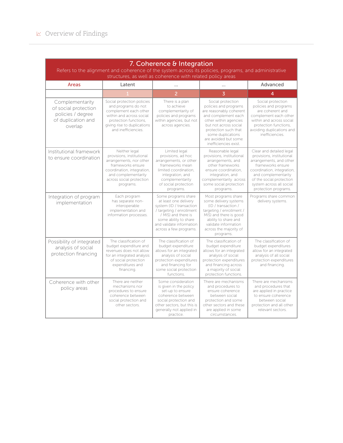| 7. Coherence & Integration<br>Refers to the alignment and coherence of the system across its policies, programs, and administrative<br>structures, as well as coherence with related policy areas |                                                                                                                                                                                          |                                                                                                                                                                                                            |                                                                                                                                                                                                                                              |                                                                                                                                                                                                                                            |  |
|---------------------------------------------------------------------------------------------------------------------------------------------------------------------------------------------------|------------------------------------------------------------------------------------------------------------------------------------------------------------------------------------------|------------------------------------------------------------------------------------------------------------------------------------------------------------------------------------------------------------|----------------------------------------------------------------------------------------------------------------------------------------------------------------------------------------------------------------------------------------------|--------------------------------------------------------------------------------------------------------------------------------------------------------------------------------------------------------------------------------------------|--|
| <b>Areas</b>                                                                                                                                                                                      | Latent                                                                                                                                                                                   | .                                                                                                                                                                                                          |                                                                                                                                                                                                                                              | Advanced                                                                                                                                                                                                                                   |  |
|                                                                                                                                                                                                   |                                                                                                                                                                                          | $\overline{2}$                                                                                                                                                                                             | $\overline{3}$                                                                                                                                                                                                                               | 4                                                                                                                                                                                                                                          |  |
| Complementarity<br>of social protection<br>policies / degree<br>of duplication and<br>overlap                                                                                                     | Social protection policies<br>and programs do not<br>complement each other<br>within and across social<br>protection functions,<br>giving rise to duplications<br>and inefficiencies.    | There is a plan<br>to achieve<br>complementarity of<br>policies and programs<br>within agencies, but not<br>across agencies.                                                                               | Social protection<br>policies and programs<br>are reasonably coherent<br>and complement each<br>other within agencies<br>but not across social<br>protection such that<br>some duplications<br>are avoided but some<br>inefficiencies exist. | Social protection<br>policies and programs<br>are coherent and<br>complement each other<br>within and across social<br>protection functions,<br>avoiding duplications and<br>inefficiencies.                                               |  |
| Institutional framework<br>to ensure coordination                                                                                                                                                 | Neither legal<br>provisions, institutional<br>arrangements, nor other<br>frameworks ensure<br>coordination, integration,<br>and complementarity<br>across social protection<br>programs. | Limited legal<br>provisions, ad hoc<br>arrangements, or other<br>frameworks mean<br>limited coordination,<br>integration, and<br>complementarity<br>of social protection<br>programs.                      | Reasonable legal<br>provisions, institutional<br>arrangements, and<br>other frameworks<br>ensure coordination,<br>integration, and<br>complementarity across<br>some social protection<br>programs.                                          | Clear and detailed legal<br>provisions, institutional<br>arrangements, and other<br>frameworks ensure<br>coordination, integration,<br>and complementarity<br>of the social protection<br>system across all social<br>protection programs. |  |
| Integration of program<br>implementation                                                                                                                                                          | Each program<br>has separate non-<br>interoperable<br>implementation and<br>information processes.                                                                                       | Some programs share<br>at least one delivery<br>system (ID / transaction<br>/ targeting / enrollment<br>/ MIS) and there is<br>some ability to share<br>and validate information<br>across a few programs. | Most programs share<br>some delivery systems<br>(ID / transaction /<br>targeting / enrollment /<br>MIS) and there is good<br>ability to share and<br>validate information<br>across the majority of<br>programs.                             | Programs share common<br>delivery systems.                                                                                                                                                                                                 |  |
| Possibility of integrated<br>analysis of social<br>protection financing                                                                                                                           | The classification of<br>budget expenditure and<br>revenues does not allow<br>for an integrated analysis<br>of social protection<br>expenditures and<br>financing.                       | The classification of<br>budget expenditure<br>allows for an integrated<br>analysis of social<br>protection expenditures<br>and financing for<br>some social protection<br>functions.                      | The classification of<br>budget expenditure<br>allows for an integrated<br>analysis of social<br>protection expenditures<br>and financing across<br>a majority of social<br>protection functions.                                            | The classification of<br>budget expenditures<br>allow for an integrated<br>analysis of all social<br>protection expenditures<br>and financing.                                                                                             |  |
| Coherence with other<br>policy areas                                                                                                                                                              | There are neither<br>mechanisms nor<br>procedures to ensure<br>coherence between<br>social protection and<br>other sectors.                                                              | Some consideration<br>is given in the policy<br>set-up to ensure<br>coherence between<br>social protection and<br>other sectors, but this is<br>generally not applied in<br>practice.                      | There are mechanisms<br>and procedures to<br>ensure coherence<br>between social<br>protection and some<br>other sectors and these<br>are applied in some<br>circumstances.                                                                   | There are mechanisms<br>and procedures that<br>are applied in practice<br>to ensure coherence<br>between social<br>protection and all other<br>relevant sectors.                                                                           |  |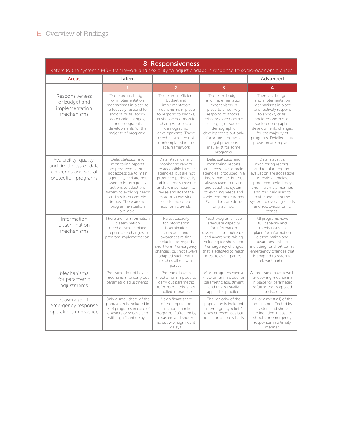#### $\textcolor{red}{\swarrow}$  Overview of Findings

| 8. Responsiveness<br>Refers to the system's M&E framework and flexibility to adjust / adapt in response to socio-economic crises |                                                                                                                                                                                                                                                                                       |                                                                                                                                                                                                                                                                     |                                                                                                                                                                                                                                                                           |                                                                                                                                                                                                                                                                                     |
|----------------------------------------------------------------------------------------------------------------------------------|---------------------------------------------------------------------------------------------------------------------------------------------------------------------------------------------------------------------------------------------------------------------------------------|---------------------------------------------------------------------------------------------------------------------------------------------------------------------------------------------------------------------------------------------------------------------|---------------------------------------------------------------------------------------------------------------------------------------------------------------------------------------------------------------------------------------------------------------------------|-------------------------------------------------------------------------------------------------------------------------------------------------------------------------------------------------------------------------------------------------------------------------------------|
| Areas                                                                                                                            | Latent                                                                                                                                                                                                                                                                                | .                                                                                                                                                                                                                                                                   | .                                                                                                                                                                                                                                                                         | Advanced                                                                                                                                                                                                                                                                            |
|                                                                                                                                  |                                                                                                                                                                                                                                                                                       | $\overline{\phantom{a}}$                                                                                                                                                                                                                                            | 3                                                                                                                                                                                                                                                                         | 4                                                                                                                                                                                                                                                                                   |
| Responsiveness<br>of budget and<br>implementation<br>mechanisms                                                                  | There are no budget<br>or implementation<br>mechanisms in place to<br>effectively respond to<br>shocks, crisis, socio-<br>economic changes,<br>or demographic<br>developments for the<br>majority of programs.                                                                        | There are inefficient<br>budget and<br>implementation<br>mechanisms in place<br>to respond to shocks,<br>crisis, socioeconomic<br>changes, or socio-<br>demographic<br>developments. These<br>mechanisms are not<br>contemplated in the<br>legal framework.         | There are budget<br>and implementation<br>mechanisms in<br>place to effectively<br>respond to shocks,<br>crisis, socioeconomic<br>changes, or socio-<br>demographic<br>developments but only<br>for some programs.<br>Legal provisions<br>may exist for some<br>programs. | There are budget<br>and implementation<br>mechanisms in place<br>to effectively respond<br>to shocks, crisis.<br>socio-economic, or<br>socio-demographic<br>developments changes<br>for the majority of<br>programs. Detailed legal<br>provision are in place.                      |
| Availability, quality,<br>and timeliness of data<br>on trends and social<br>protection programs                                  | Data, statistics, and<br>monitoring reports<br>are produced ad hoc,<br>not accessible to main<br>agencies, and are not<br>used to inform policy<br>actions to adapt the<br>system to evolving needs<br>and socio-economic<br>trends. There are no<br>program evaluation<br>available. | Data, statistics, and<br>monitoring reports<br>are accessible to main<br>agencies, but are not<br>produced periodically<br>and in a timely manner,<br>and are insufficient to<br>revise and adapt the<br>system to evolving<br>needs and socio-<br>economic trends. | Data, statistics, and<br>monitoring reports<br>are accessible to main<br>agencies, produced in a<br>timely manner, but not<br>always used to revise<br>and adapt the system<br>to evolving needs and<br>socio-economic trends.<br>Evaluations are done<br>only ad hoc.    | Data, statistics,<br>monitoring reports,<br>and regular program<br>evaluation are accessible<br>to main agencies,<br>produced periodically<br>and in a timely manner,<br>and routinely used to<br>revise and adapt the<br>system to evolving needs<br>and socio-economic<br>trends. |
| Information<br>dissemination<br>mechanisms                                                                                       | There are no information<br>dissemination<br>mechanisms in place<br>to publicize changes in<br>program implementation.                                                                                                                                                                | Partial capacity<br>for information<br>dissemination,<br>outreach, and<br>awareness raising<br>including as regards<br>short term / emergency<br>changes, but not always<br>adapted such that it<br>reaches all relevant<br>parties.                                | Most programs have<br>adequate capacity<br>for information<br>dissemination, outreach,<br>and awareness raising<br>including for short term<br>/ emergency changes<br>that is adapted to reach<br>most relevant parties.                                                  | All programs have<br>full capacity and<br>mechanisms in<br>place for information<br>dissemination and<br>awareness raising<br>including for short term /<br>emergency changes that<br>is adapted to reach all<br>relevant parties.                                                  |
| Mechanisms<br>for parametric<br>adjustments                                                                                      | Programs do not have a<br>mechanism to carry out<br>parametric adjustments.                                                                                                                                                                                                           | Programs have a<br>mechanism in place to<br>carry out parametric<br>reforms but this is not<br>applied in practice.                                                                                                                                                 | Most programs have a<br>mechanism in place for<br>parametric adjustment<br>and this is usually<br>applied in practice.                                                                                                                                                    | All programs have a well-<br>functioning mechanism<br>in place for parametric<br>reforms that is applied<br>consistently.                                                                                                                                                           |
| Coverage of<br>emergency response<br>operations in practice                                                                      | Only a small share of the<br>population is included in<br>relief programs in case of<br>disasters or shocks and<br>with significant delays.                                                                                                                                           | A significant share<br>of the population<br>is included in relief<br>programs if affected by<br>disasters and shocks<br>is, but with significant<br>delays.                                                                                                         | The majority of the<br>population is included<br>in emergency relief /<br>disaster responses but<br>not all on a timely basis.                                                                                                                                            | All (or almost all) of the<br>population affected by<br>disasters and shocks<br>are included in case of<br>shocks or emergency<br>responses in a timely<br>manner.                                                                                                                  |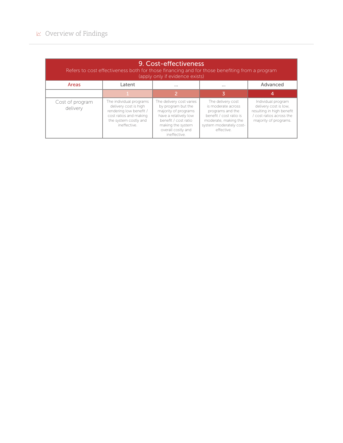| 9. Cost-effectiveness<br>Refers to cost effectiveness both for those financing and for those benefiting from a program<br>(apply only if evidence exists) |                                                                                                                                                |                                                                                                                                                                                    |                                                                                                                                                         |                                                                                                                               |  |
|-----------------------------------------------------------------------------------------------------------------------------------------------------------|------------------------------------------------------------------------------------------------------------------------------------------------|------------------------------------------------------------------------------------------------------------------------------------------------------------------------------------|---------------------------------------------------------------------------------------------------------------------------------------------------------|-------------------------------------------------------------------------------------------------------------------------------|--|
| Areas                                                                                                                                                     | Latent                                                                                                                                         | $\cdots$                                                                                                                                                                           | $\cdots$                                                                                                                                                | Advanced                                                                                                                      |  |
|                                                                                                                                                           |                                                                                                                                                | 2                                                                                                                                                                                  |                                                                                                                                                         | 4                                                                                                                             |  |
| Cost of program<br>delivery                                                                                                                               | The individual programs<br>delivery cost is high<br>rendering low benefit /<br>cost ratios and making<br>the system costly and<br>ineffective. | The delivery cost varies<br>by program but the<br>majority of programs<br>have a relatively low<br>benefit / cost ratio<br>making the system<br>overall costly and<br>ineffective. | The delivery cost<br>is moderate across<br>programs and the<br>benefit / cost ratio is<br>moderate, making the<br>system moderately cost-<br>effective. | Individual program<br>delivery cost is low,<br>resulting in high benefit<br>/ cost ratios across the<br>majority of programs. |  |